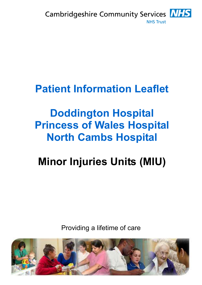

## **Patient Information Leaflet**

# **Doddington Hospital Princess of Wales Hospital North Cambs Hospital**

# **Minor Injuries Units (MIU)**

Providing a lifetime of care

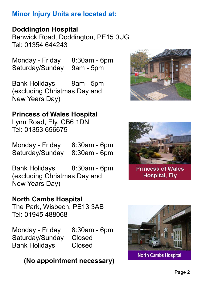#### **Minor Injury Units are located at:**

**Doddington Hospital**

Benwick Road, Doddington, PE15 0UG Tel: 01354 644243

Monday - Friday 8:30am - 6pm Saturday/Sunday 9am - 5pm

Bank Holidays 9am - 5pm (excluding Christmas Day and New Years Day)

#### **Princess of Wales Hospital**

Lynn Road, Ely, CB6 1DN Tel: 01353 656675

Monday - Friday 8:30am - 6pm Saturday/Sunday 8:30am - 6pm

Bank Holidays 8:30am - 6pm (excluding Christmas Day and New Years Day)

#### **North Cambs Hospital**

The Park, Wisbech, PE13 3AB Tel: 01945 488068

Monday - Friday 8:30am - 6pm Saturday/Sunday Closed Bank Holidays Closed

### **(No appointment necessary)**





**Princess of Wales Hospital, Ely** 



**North Cambs Hospital**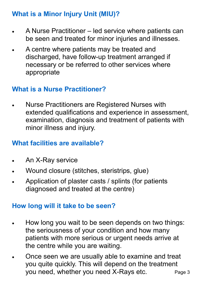#### **What is a Minor Injury Unit (MIU)?**

- A Nurse Practitioner led service where patients can be seen and treated for minor injuries and illnesses.
- A centre where patients may be treated and discharged, have follow-up treatment arranged if necessary or be referred to other services where appropriate

#### **What is a Nurse Practitioner?**

• Nurse Practitioners are Registered Nurses with extended qualifications and experience in assessment, examination, diagnosis and treatment of patients with minor illness and injury.

#### **What facilities are available?**

- An X-Ray service
- Wound closure (stitches, steristrips, glue)
- Application of plaster casts / splints (for patients diagnosed and treated at the centre)

#### **How long will it take to be seen?**

- How long you wait to be seen depends on two things: the seriousness of your condition and how many patients with more serious or urgent needs arrive at the centre while you are waiting.
- Once seen we are usually able to examine and treat you quite quickly. This will depend on the treatment you need, whether you need X-Rays etc. Page 3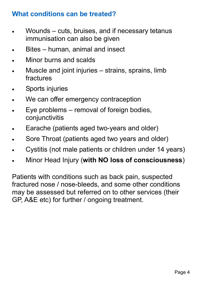#### **What conditions can be treated?**

- Wounds cuts, bruises, and if necessary tetanus immunisation can also be given
- Bites human, animal and insect
- Minor burns and scalds
- Muscle and joint injuries strains, sprains, limb fractures
- Sports injuries
- We can offer emergency contraception
- Eye problems removal of foreign bodies, conjunctivitis
- Earache (patients aged two-years and older)
- Sore Throat (patients aged two years and older)
- Cystitis (not male patients or children under 14 years)
- Minor Head Injury (**with NO loss of consciousness**)

Patients with conditions such as back pain, suspected fractured nose / nose-bleeds, and some other conditions may be assessed but referred on to other services (their GP, A&E etc) for further / ongoing treatment.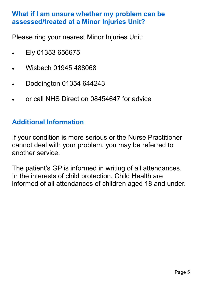#### **What if I am unsure whether my problem can be assessed/treated at a Minor Injuries Unit?**

Please ring your nearest Minor Injuries Unit:

- Ely 01353 656675
- Wisbech 01945 488068
- Doddington 01354 644243
- or call NHS Direct on 08454647 for advice

#### **Additional Information**

If your condition is more serious or the Nurse Practitioner cannot deal with your problem, you may be referred to another service.

The patient's GP is informed in writing of all attendances. In the interests of child protection, Child Health are informed of all attendances of children aged 18 and under.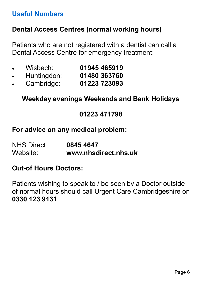#### **Useful Numbers**

#### **Dental Access Centres (normal working hours)**

Patients who are not registered with a dentist can call a Dental Access Centre for emergency treatment:

- Wisbech: **01945 465919**
- Huntingdon: **01480 363760**
- Cambridge: **01223 723093**

**Weekday evenings Weekends and Bank Holidays** 

#### **01223 471798**

#### **For advice on any medical problem:**

NHS Direct **0845 4647**  Website: **www.nhsdirect.nhs.uk**

#### **Out-of Hours Doctors:**

Patients wishing to speak to / be seen by a Doctor outside of normal hours should call Urgent Care Cambridgeshire on **0330 123 9131**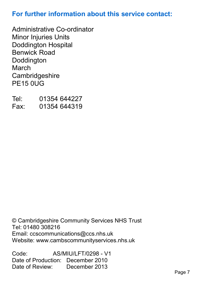#### **For further information about this service contact:**

Administrative Co-ordinator Minor Injuries Units Doddington Hospital Benwick Road Doddington **March Cambridgeshire** PE15 0UG

Tel: 01354 644227<br>Fax: 01354 644319 Fax: 01354 644319

© Cambridgeshire Community Services NHS Trust Tel: 01480 308216 Email: ccscommunications@ccs.nhs.uk Website: www.cambscommunityservices.nhs.uk

Code: AS/MIU/LFT/0298 - V1 Date of Production: December 2010 Date of Review: December 2013